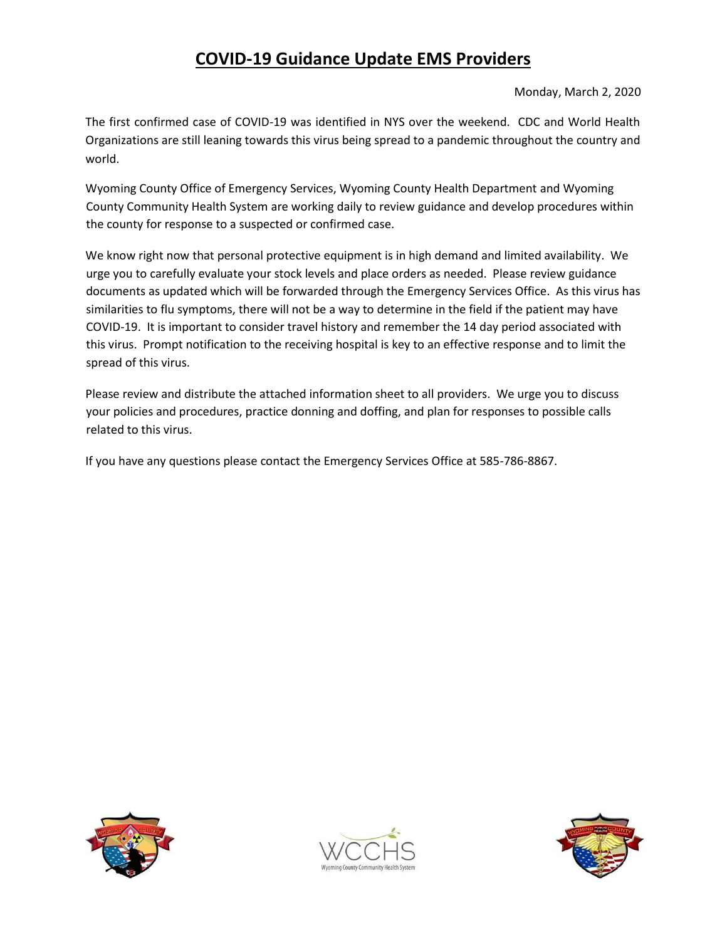# **COVID-19 Guidance Update EMS Providers**

### Monday, March 2, 2020

The first confirmed case of COVID-19 was identified in NYS over the weekend. CDC and World Health Organizations are still leaning towards this virus being spread to a pandemic throughout the country and world.

Wyoming County Office of Emergency Services, Wyoming County Health Department and Wyoming County Community Health System are working daily to review guidance and develop procedures within the county for response to a suspected or confirmed case.

We know right now that personal protective equipment is in high demand and limited availability. We urge you to carefully evaluate your stock levels and place orders as needed. Please review guidance documents as updated which will be forwarded through the Emergency Services Office. As this virus has similarities to flu symptoms, there will not be a way to determine in the field if the patient may have COVID-19. It is important to consider travel history and remember the 14 day period associated with this virus. Prompt notification to the receiving hospital is key to an effective response and to limit the spread of this virus.

Please review and distribute the attached information sheet to all providers. We urge you to discuss your policies and procedures, practice donning and doffing, and plan for responses to possible calls related to this virus.

If you have any questions please contact the Emergency Services Office at 585-786-8867.